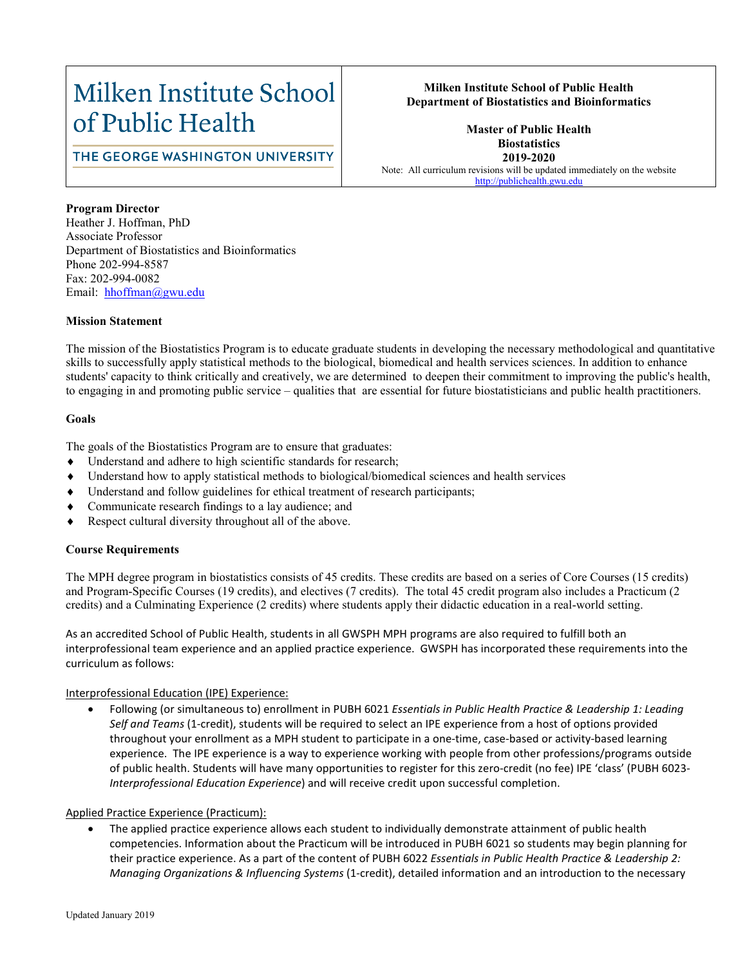# Milken Institute School of Public Health

### **Milken Institute School of Public Health Department of Biostatistics and Bioinformatics**

# THE GEORGE WASHINGTON UNIVERSITY

**Master of Public Health Biostatistics 2019-2020** Note: All curriculum revisions will be updated immediately on the website [http://publichealth.gwu.edu](http://publichealth.gwu.edu/)

#### **Program Director**

Heather J. Hoffman, PhD Associate Professor Department of Biostatistics and Bioinformatics Phone 202-994-8587 Fax: 202-994-0082 Email: hhoffman@gwu.edu

#### **Mission Statement**

The mission of the Biostatistics Program is to educate graduate students in developing the necessary methodological and quantitative skills to successfully apply statistical methods to the biological, biomedical and health services sciences. In addition to enhance students' capacity to think critically and creatively, we are determined to deepen their commitment to improving the public's health, to engaging in and promoting public service – qualities that are essential for future biostatisticians and public health practitioners.

#### **Goals**

The goals of the Biostatistics Program are to ensure that graduates:

- Understand and adhere to high scientific standards for research;
- Understand how to apply statistical methods to biological/biomedical sciences and health services
- Understand and follow guidelines for ethical treatment of research participants;
- Communicate research findings to a lay audience; and
- Respect cultural diversity throughout all of the above.

#### **Course Requirements**

The MPH degree program in biostatistics consists of 45 credits. These credits are based on a series of Core Courses (15 credits) and Program-Specific Courses (19 credits), and electives (7 credits). The total 45 credit program also includes a Practicum (2 credits) and a Culminating Experience (2 credits) where students apply their didactic education in a real-world setting.

As an accredited School of Public Health, students in all GWSPH MPH programs are also required to fulfill both an interprofessional team experience and an applied practice experience. GWSPH has incorporated these requirements into the curriculum as follows:

#### Interprofessional Education (IPE) Experience:

• Following (or simultaneous to) enrollment in PUBH 6021 *Essentials in Public Health Practice & Leadership 1: Leading Self and Teams* (1-credit), students will be required to select an IPE experience from a host of options provided throughout your enrollment as a MPH student to participate in a one-time, case-based or activity-based learning experience. The IPE experience is a way to experience working with people from other professions/programs outside of public health. Students will have many opportunities to register for this zero-credit (no fee) IPE 'class' (PUBH 6023- *Interprofessional Education Experience*) and will receive credit upon successful completion.

#### Applied Practice Experience (Practicum):

• The applied practice experience allows each student to individually demonstrate attainment of public health competencies. Information about the Practicum will be introduced in PUBH 6021 so students may begin planning for their practice experience. As a part of the content of PUBH 6022 *Essentials in Public Health Practice & Leadership 2: Managing Organizations & Influencing Systems* (1-credit), detailed information and an introduction to the necessary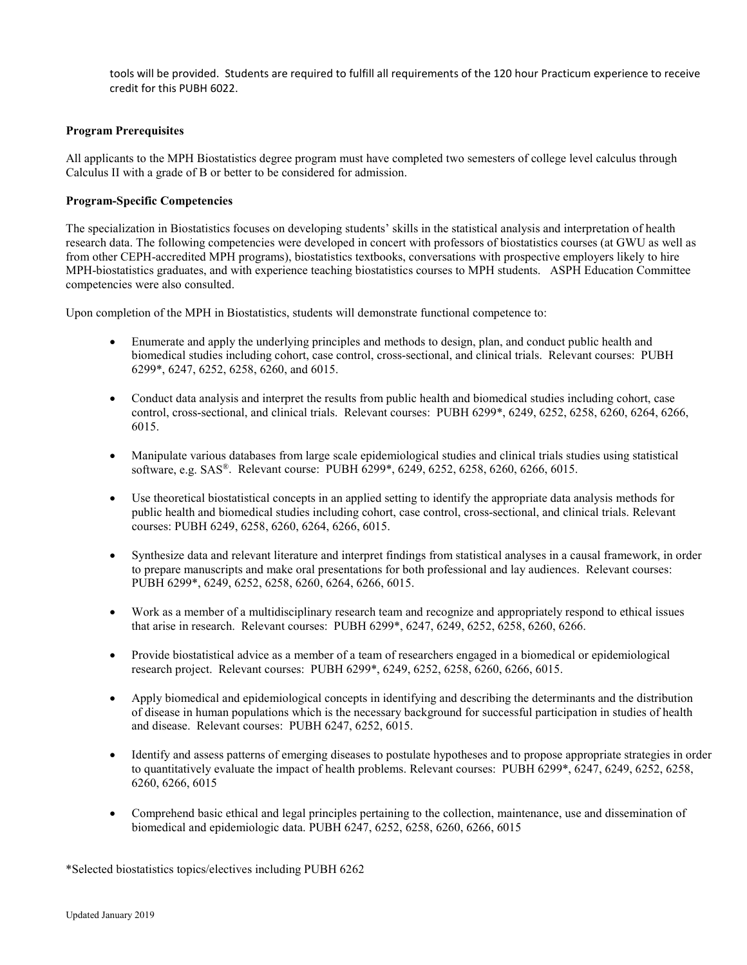tools will be provided. Students are required to fulfill all requirements of the 120 hour Practicum experience to receive credit for this PUBH 6022.

#### **Program Prerequisites**

All applicants to the MPH Biostatistics degree program must have completed two semesters of college level calculus through Calculus II with a grade of B or better to be considered for admission.

#### **Program-Specific Competencies**

The specialization in Biostatistics focuses on developing students' skills in the statistical analysis and interpretation of health research data. The following competencies were developed in concert with professors of biostatistics courses (at GWU as well as from other CEPH-accredited MPH programs), biostatistics textbooks, conversations with prospective employers likely to hire MPH-biostatistics graduates, and with experience teaching biostatistics courses to MPH students. ASPH Education Committee competencies were also consulted.

Upon completion of the MPH in Biostatistics, students will demonstrate functional competence to:

- Enumerate and apply the underlying principles and methods to design, plan, and conduct public health and biomedical studies including cohort, case control, cross-sectional, and clinical trials. Relevant courses: PUBH 6299\*, 6247, 6252, 6258, 6260, and 6015.
- Conduct data analysis and interpret the results from public health and biomedical studies including cohort, case control, cross-sectional, and clinical trials. Relevant courses: PUBH 6299\*, 6249, 6252, 6258, 6260, 6264, 6266, 6015.
- Manipulate various databases from large scale epidemiological studies and clinical trials studies using statistical software, e.g. SAS®. Relevant course: PUBH 6299\*, 6249, 6252, 6258, 6260, 6266, 6015.
- Use theoretical biostatistical concepts in an applied setting to identify the appropriate data analysis methods for public health and biomedical studies including cohort, case control, cross-sectional, and clinical trials. Relevant courses: PUBH 6249, 6258, 6260, 6264, 6266, 6015.
- Synthesize data and relevant literature and interpret findings from statistical analyses in a causal framework, in order to prepare manuscripts and make oral presentations for both professional and lay audiences. Relevant courses: PUBH 6299\*, 6249, 6252, 6258, 6260, 6264, 6266, 6015.
- Work as a member of a multidisciplinary research team and recognize and appropriately respond to ethical issues that arise in research. Relevant courses: PUBH 6299\*, 6247, 6249, 6252, 6258, 6260, 6266.
- Provide biostatistical advice as a member of a team of researchers engaged in a biomedical or epidemiological research project. Relevant courses: PUBH 6299\*, 6249, 6252, 6258, 6260, 6266, 6015.
- Apply biomedical and epidemiological concepts in identifying and describing the determinants and the distribution of disease in human populations which is the necessary background for successful participation in studies of health and disease. Relevant courses: PUBH 6247, 6252, 6015.
- Identify and assess patterns of emerging diseases to postulate hypotheses and to propose appropriate strategies in order to quantitatively evaluate the impact of health problems. Relevant courses: PUBH 6299\*, 6247, 6249, 6252, 6258, 6260, 6266, 6015
- Comprehend basic ethical and legal principles pertaining to the collection, maintenance, use and dissemination of biomedical and epidemiologic data. PUBH 6247, 6252, 6258, 6260, 6266, 6015

\*Selected biostatistics topics/electives including PUBH 6262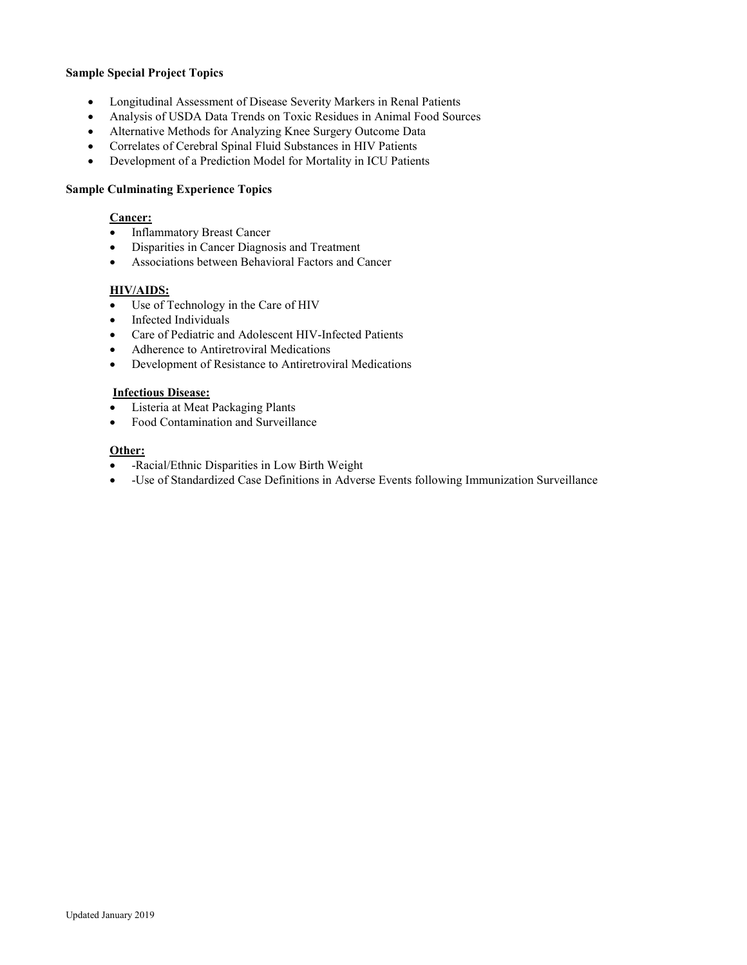#### **Sample Special Project Topics**

- Longitudinal Assessment of Disease Severity Markers in Renal Patients
- Analysis of USDA Data Trends on Toxic Residues in Animal Food Sources
- Alternative Methods for Analyzing Knee Surgery Outcome Data
- Correlates of Cerebral Spinal Fluid Substances in HIV Patients
- Development of a Prediction Model for Mortality in ICU Patients

#### **Sample Culminating Experience Topics**

#### **Cancer:**

- Inflammatory Breast Cancer
- Disparities in Cancer Diagnosis and Treatment
- Associations between Behavioral Factors and Cancer

#### **HIV/AIDS:**

- Use of Technology in the Care of HIV
- Infected Individuals
- Care of Pediatric and Adolescent HIV-Infected Patients
- Adherence to Antiretroviral Medications
- Development of Resistance to Antiretroviral Medications

#### **Infectious Disease:**

- Listeria at Meat Packaging Plants
- Food Contamination and Surveillance

#### **Other:**

- -Racial/Ethnic Disparities in Low Birth Weight
- -Use of Standardized Case Definitions in Adverse Events following Immunization Surveillance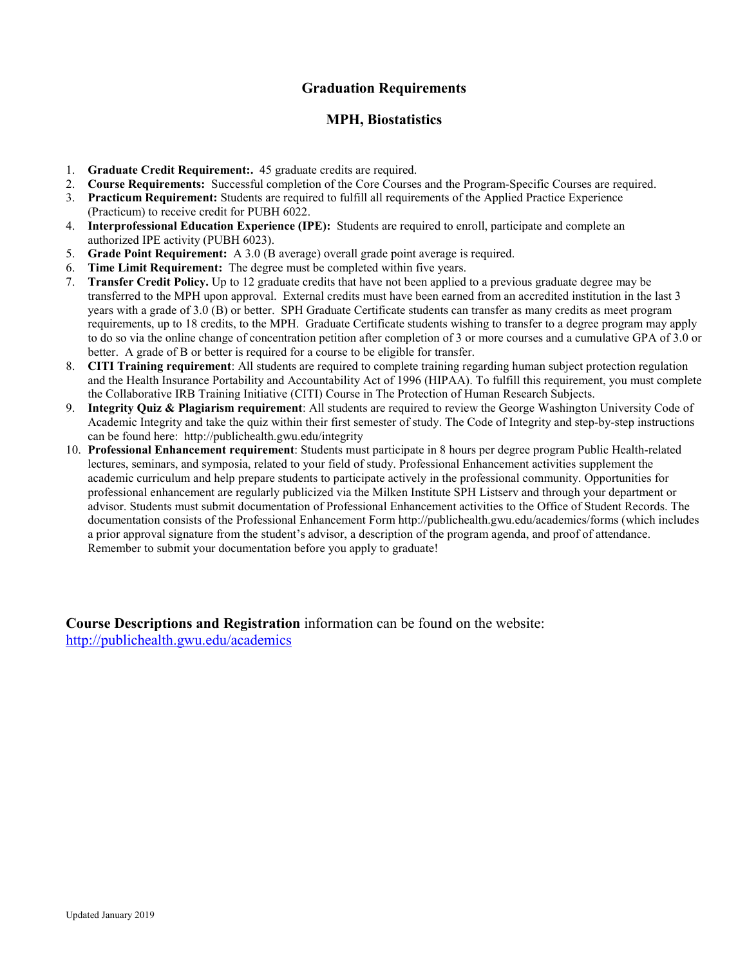# **Graduation Requirements**

#### **MPH, Biostatistics**

- 1. **Graduate Credit Requirement:.** 45 graduate credits are required.
- 2. **Course Requirements:** Successful completion of the Core Courses and the Program-Specific Courses are required.
- 3. **Practicum Requirement:** Students are required to fulfill all requirements of the Applied Practice Experience (Practicum) to receive credit for PUBH 6022.
- 4. **Interprofessional Education Experience (IPE):** Students are required to enroll, participate and complete an authorized IPE activity (PUBH 6023).
- 5. **Grade Point Requirement:** A 3.0 (B average) overall grade point average is required.
- 6. **Time Limit Requirement:** The degree must be completed within five years.
- 7. **Transfer Credit Policy.** Up to 12 graduate credits that have not been applied to a previous graduate degree may be transferred to the MPH upon approval. External credits must have been earned from an accredited institution in the last 3 years with a grade of 3.0 (B) or better. SPH Graduate Certificate students can transfer as many credits as meet program requirements, up to 18 credits, to the MPH. Graduate Certificate students wishing to transfer to a degree program may apply to do so via the online change of concentration petition after completion of 3 or more courses and a cumulative GPA of 3.0 or better. A grade of B or better is required for a course to be eligible for transfer.
- 8. **CITI Training requirement**: All students are required to complete training regarding human subject protection regulation and the Health Insurance Portability and Accountability Act of 1996 (HIPAA). To fulfill this requirement, you must complete the Collaborative IRB Training Initiative (CITI) Course in The Protection of Human Research Subjects.
- 9. **Integrity Quiz & Plagiarism requirement**: All students are required to review the George Washington University Code of Academic Integrity and take the quiz within their first semester of study. The Code of Integrity and step-by-step instructions can be found here: http://publichealth.gwu.edu/integrity
- 10. **Professional Enhancement requirement**: Students must participate in 8 hours per degree program Public Health-related lectures, seminars, and symposia, related to your field of study. Professional Enhancement activities supplement the academic curriculum and help prepare students to participate actively in the professional community. Opportunities for professional enhancement are regularly publicized via the Milken Institute SPH Listserv and through your department or advisor. Students must submit documentation of Professional Enhancement activities to the Office of Student Records. The documentation consists of the Professional Enhancement Form http://publichealth.gwu.edu/academics/forms (which includes a prior approval signature from the student's advisor, a description of the program agenda, and proof of attendance. Remember to submit your documentation before you apply to graduate!

**Course Descriptions and Registration** information can be found on the website: <http://publichealth.gwu.edu/academics>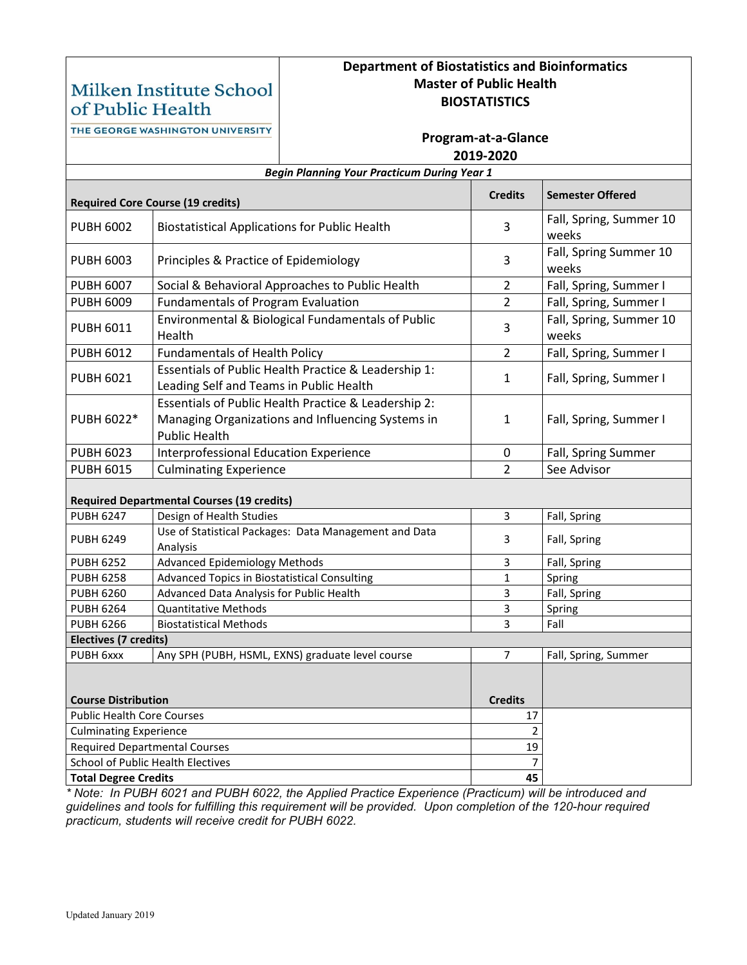# Milken Institute School of Public Health

# **Department of Biostatistics and Bioinformatics Master of Public Health BIOSTATISTICS**

THE GEORGE WASHINGTON UNIVERSITY

## **Program-at-a-Glance 2019-2020**

| <b>Begin Planning Your Practicum During Year 1</b> |                                                                                                                                   |                |                                  |  |  |  |  |
|----------------------------------------------------|-----------------------------------------------------------------------------------------------------------------------------------|----------------|----------------------------------|--|--|--|--|
|                                                    | <b>Required Core Course (19 credits)</b>                                                                                          | <b>Credits</b> | <b>Semester Offered</b>          |  |  |  |  |
| <b>PUBH 6002</b>                                   | <b>Biostatistical Applications for Public Health</b>                                                                              | 3              | Fall, Spring, Summer 10<br>weeks |  |  |  |  |
| <b>PUBH 6003</b>                                   | Principles & Practice of Epidemiology                                                                                             | 3              | Fall, Spring Summer 10<br>weeks  |  |  |  |  |
| <b>PUBH 6007</b>                                   | Social & Behavioral Approaches to Public Health                                                                                   | $\overline{2}$ | Fall, Spring, Summer I           |  |  |  |  |
| <b>PUBH 6009</b>                                   | <b>Fundamentals of Program Evaluation</b>                                                                                         | $\overline{2}$ | Fall, Spring, Summer I           |  |  |  |  |
| <b>PUBH 6011</b>                                   | Environmental & Biological Fundamentals of Public<br>Health                                                                       | 3              | Fall, Spring, Summer 10<br>weeks |  |  |  |  |
| <b>PUBH 6012</b>                                   | <b>Fundamentals of Health Policy</b>                                                                                              | $\overline{2}$ | Fall, Spring, Summer I           |  |  |  |  |
| <b>PUBH 6021</b>                                   | Essentials of Public Health Practice & Leadership 1:<br>Leading Self and Teams in Public Health                                   | 1              | Fall, Spring, Summer I           |  |  |  |  |
| PUBH 6022*                                         | Essentials of Public Health Practice & Leadership 2:<br>Managing Organizations and Influencing Systems in<br><b>Public Health</b> | 1              | Fall, Spring, Summer I           |  |  |  |  |
| <b>PUBH 6023</b>                                   | <b>Interprofessional Education Experience</b>                                                                                     | $\pmb{0}$      | Fall, Spring Summer              |  |  |  |  |
| <b>PUBH 6015</b>                                   | <b>Culminating Experience</b>                                                                                                     | 2              | See Advisor                      |  |  |  |  |
| <b>Required Departmental Courses (19 credits)</b>  |                                                                                                                                   |                |                                  |  |  |  |  |
| <b>PUBH 6247</b>                                   | Design of Health Studies                                                                                                          | 3              | Fall, Spring                     |  |  |  |  |
| <b>PUBH 6249</b>                                   | Use of Statistical Packages: Data Management and Data<br>Analysis                                                                 | 3              | Fall, Spring                     |  |  |  |  |
| <b>PUBH 6252</b>                                   | <b>Advanced Epidemiology Methods</b>                                                                                              | 3              | Fall, Spring                     |  |  |  |  |
| <b>PUBH 6258</b>                                   | Advanced Topics in Biostatistical Consulting                                                                                      | $\mathbf{1}$   | Spring                           |  |  |  |  |
| <b>PUBH 6260</b>                                   | Advanced Data Analysis for Public Health                                                                                          | 3              | Fall, Spring                     |  |  |  |  |
| <b>PUBH 6264</b>                                   | <b>Quantitative Methods</b>                                                                                                       | 3              | Spring                           |  |  |  |  |
| <b>PUBH 6266</b>                                   | <b>Biostatistical Methods</b>                                                                                                     | 3              | Fall                             |  |  |  |  |
| <b>Electives (7 credits)</b>                       |                                                                                                                                   |                |                                  |  |  |  |  |
| PUBH 6xxx                                          | Any SPH (PUBH, HSML, EXNS) graduate level course                                                                                  | $\overline{7}$ | Fall, Spring, Summer             |  |  |  |  |
|                                                    |                                                                                                                                   |                |                                  |  |  |  |  |
| <b>Course Distribution</b>                         |                                                                                                                                   | <b>Credits</b> |                                  |  |  |  |  |
| <b>Public Health Core Courses</b>                  |                                                                                                                                   | 17             |                                  |  |  |  |  |
| <b>Culminating Experience</b>                      |                                                                                                                                   | $\overline{2}$ |                                  |  |  |  |  |
| <b>Required Departmental Courses</b>               |                                                                                                                                   | 19             |                                  |  |  |  |  |
| School of Public Health Electives                  |                                                                                                                                   |                |                                  |  |  |  |  |
| <b>Total Degree Credits</b>                        |                                                                                                                                   | 45             |                                  |  |  |  |  |

*\* Note: In PUBH 6021 and PUBH 6022, the Applied Practice Experience (Practicum) will be introduced and guidelines and tools for fulfilling this requirement will be provided. Upon completion of the 120-hour required practicum, students will receive credit for PUBH 6022.*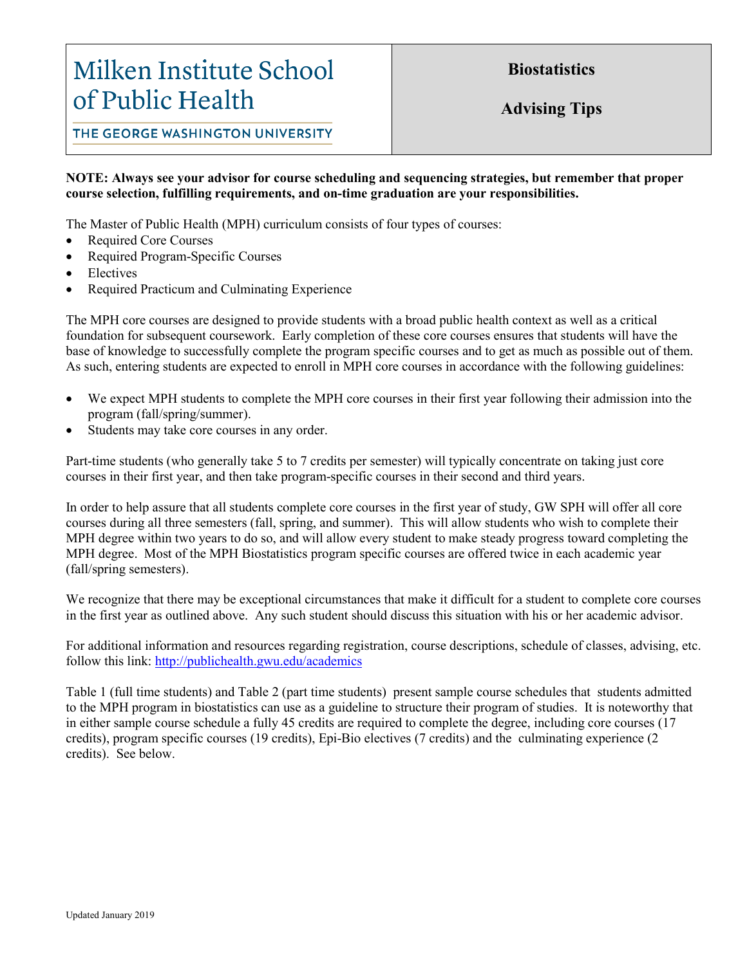# Milken Institute School of Public Health

**Biostatistics**

**Advising Tips**

THE GEORGE WASHINGTON UNIVERSITY

### **NOTE: Always see your advisor for course scheduling and sequencing strategies, but remember that proper course selection, fulfilling requirements, and on-time graduation are your responsibilities.**

The Master of Public Health (MPH) curriculum consists of four types of courses:

- Required Core Courses
- Required Program-Specific Courses
- **Electives**
- Required Practicum and Culminating Experience

The MPH core courses are designed to provide students with a broad public health context as well as a critical foundation for subsequent coursework. Early completion of these core courses ensures that students will have the base of knowledge to successfully complete the program specific courses and to get as much as possible out of them. As such, entering students are expected to enroll in MPH core courses in accordance with the following guidelines:

- We expect MPH students to complete the MPH core courses in their first year following their admission into the program (fall/spring/summer).
- Students may take core courses in any order.

Part-time students (who generally take 5 to 7 credits per semester) will typically concentrate on taking just core courses in their first year, and then take program-specific courses in their second and third years.

In order to help assure that all students complete core courses in the first year of study, GW SPH will offer all core courses during all three semesters (fall, spring, and summer). This will allow students who wish to complete their MPH degree within two years to do so, and will allow every student to make steady progress toward completing the MPH degree. Most of the MPH Biostatistics program specific courses are offered twice in each academic year (fall/spring semesters).

We recognize that there may be exceptional circumstances that make it difficult for a student to complete core courses in the first year as outlined above. Any such student should discuss this situation with his or her academic advisor.

For additional information and resources regarding registration, course descriptions, schedule of classes, advising, etc. follow this link: <http://publichealth.gwu.edu/academics>

Table 1 (full time students) and Table 2 (part time students) present sample course schedules that students admitted to the MPH program in biostatistics can use as a guideline to structure their program of studies. It is noteworthy that in either sample course schedule a fully 45 credits are required to complete the degree, including core courses (17 credits), program specific courses (19 credits), Epi-Bio electives (7 credits) and the culminating experience (2 credits). See below.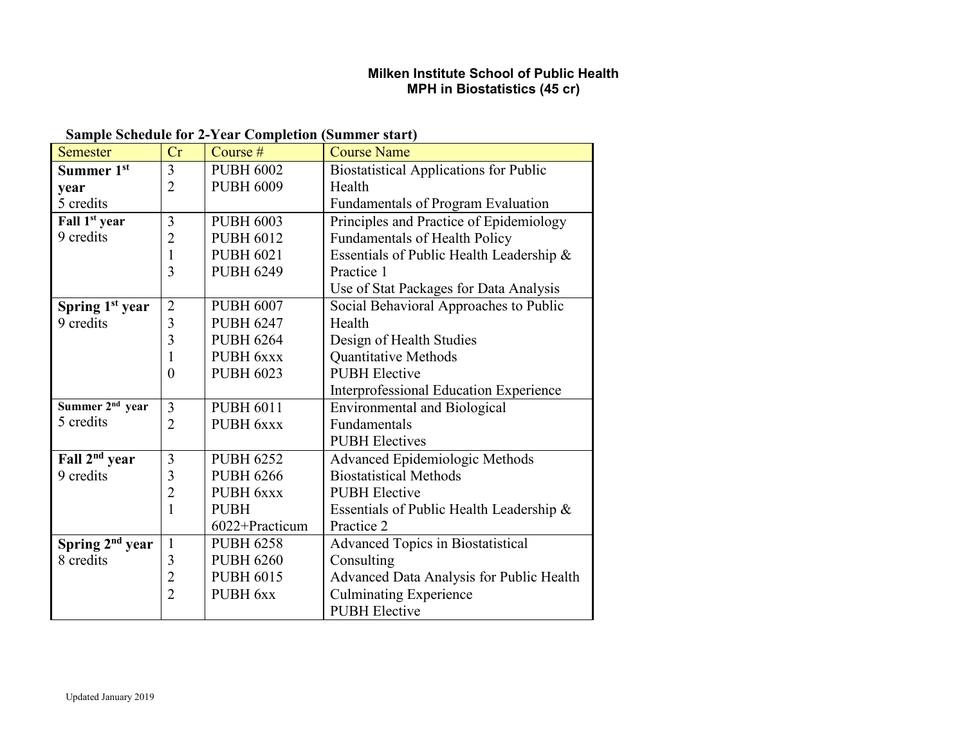# **Milken Institute School of Public Health MPH in Biostatistics (45 cr)**

# **Sample Schedule for 2-Year Completion (Summer start)**

| <b>Semester</b>             | Cr             | Course #         | <b>Course Name</b>                            |
|-----------------------------|----------------|------------------|-----------------------------------------------|
| Summer 1st                  | 3              | <b>PUBH 6002</b> | <b>Biostatistical Applications for Public</b> |
| vear                        | $\overline{2}$ | <b>PUBH 6009</b> | Health                                        |
| 5 credits                   |                |                  | Fundamentals of Program Evaluation            |
| Fall 1 <sup>st</sup> year   | 3              | <b>PUBH 6003</b> | Principles and Practice of Epidemiology       |
| 9 credits                   | $\overline{2}$ | <b>PUBH 6012</b> | <b>Fundamentals of Health Policy</b>          |
|                             | $\mathbf{1}$   | <b>PUBH 6021</b> | Essentials of Public Health Leadership &      |
|                             | 3              | <b>PUBH 6249</b> | Practice 1                                    |
|                             |                |                  | Use of Stat Packages for Data Analysis        |
| Spring 1 <sup>st</sup> year | $\overline{2}$ | <b>PUBH 6007</b> | Social Behavioral Approaches to Public        |
| 9 credits                   | 3              | <b>PUBH 6247</b> | Health                                        |
|                             | 3              | <b>PUBH 6264</b> | Design of Health Studies                      |
|                             | 1              | PUBH 6xxx        | Quantitative Methods                          |
|                             | $\theta$       | <b>PUBH 6023</b> | <b>PUBH</b> Elective                          |
|                             |                |                  | Interprofessional Education Experience        |
| Summer 2 <sup>nd</sup> year | 3              | <b>PUBH 6011</b> | <b>Environmental and Biological</b>           |
| 5 credits                   | $\overline{2}$ | PUBH 6xxx        | Fundamentals                                  |
|                             |                |                  | <b>PUBH Electives</b>                         |
| Fall 2 <sup>nd</sup> year   | 3              | <b>PUBH 6252</b> | Advanced Epidemiologic Methods                |
| 9 credits                   | 3              | <b>PUBH 6266</b> | <b>Biostatistical Methods</b>                 |
|                             | $\overline{2}$ | PUBH 6xxx        | <b>PUBH</b> Elective                          |
|                             | 1              | <b>PUBH</b>      | Essentials of Public Health Leadership &      |
|                             |                | 6022+Practicum   | Practice 2                                    |
| Spring 2 <sup>nd</sup> year | $\mathbf{1}$   | <b>PUBH 6258</b> | <b>Advanced Topics in Biostatistical</b>      |
| 8 credits                   | 3              | <b>PUBH 6260</b> | Consulting                                    |
|                             | $\overline{2}$ | <b>PUBH 6015</b> | Advanced Data Analysis for Public Health      |
|                             | $\overline{2}$ | PUBH 6xx         | <b>Culminating Experience</b>                 |
|                             |                |                  | <b>PUBH</b> Elective                          |